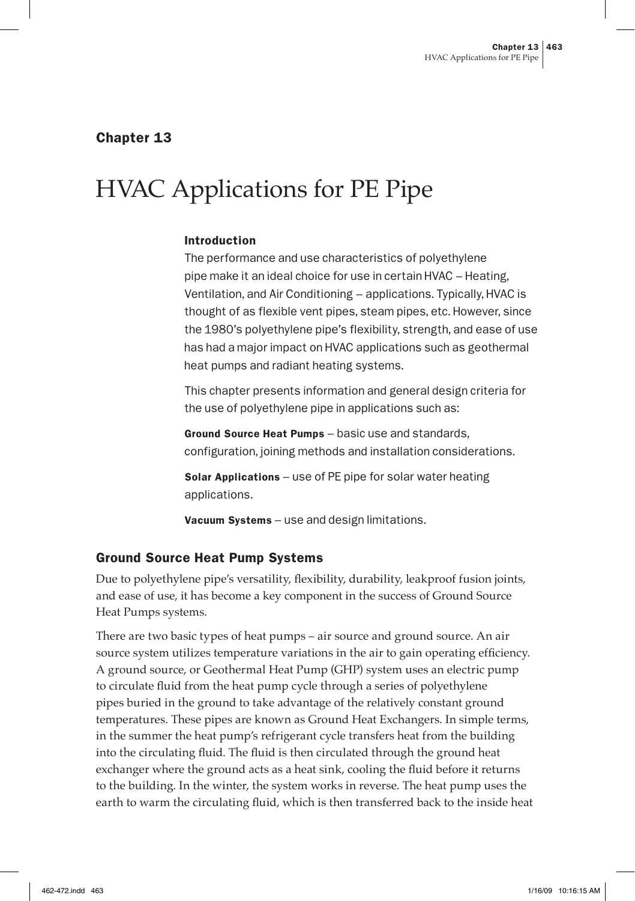# **Chapter 13**

# HVAC Applications for PE Pipe

#### Introduction

The performance and use characteristics of polyethylene pipe make it an ideal choice for use in certain HVAC – Heating, Ventilation, and Air Conditioning – applications. Typically, HVAC is thought of as flexible vent pipes, steam pipes, etc. However, since the 1980's polyethylene pipe's flexibility, strength, and ease of use has had a major impact on HVAC applications such as geothermal heat pumps and radiant heating systems.

This chapter presents information and general design criteria for the use of polyethylene pipe in applications such as:

Ground Source Heat Pumps – basic use and standards, configuration, joining methods and installation considerations.

Solar Applications – use of PE pipe for solar water heating applications.

Vacuum Systems – use and design limitations.

#### Ground Source Heat Pump Systems

Due to polyethylene pipe's versatility, flexibility, durability, leakproof fusion joints, and ease of use, it has become a key component in the success of Ground Source Heat Pumps systems.

There are two basic types of heat pumps – air source and ground source. An air source system utilizes temperature variations in the air to gain operating efficiency. A ground source, or Geothermal Heat Pump (GHP) system uses an electric pump to circulate fluid from the heat pump cycle through a series of polyethylene pipes buried in the ground to take advantage of the relatively constant ground temperatures. These pipes are known as Ground Heat Exchangers. In simple terms, in the summer the heat pump's refrigerant cycle transfers heat from the building into the circulating fluid. The fluid is then circulated through the ground heat exchanger where the ground acts as a heat sink, cooling the fluid before it returns to the building. In the winter, the system works in reverse. The heat pump uses the earth to warm the circulating fluid, which is then transferred back to the inside heat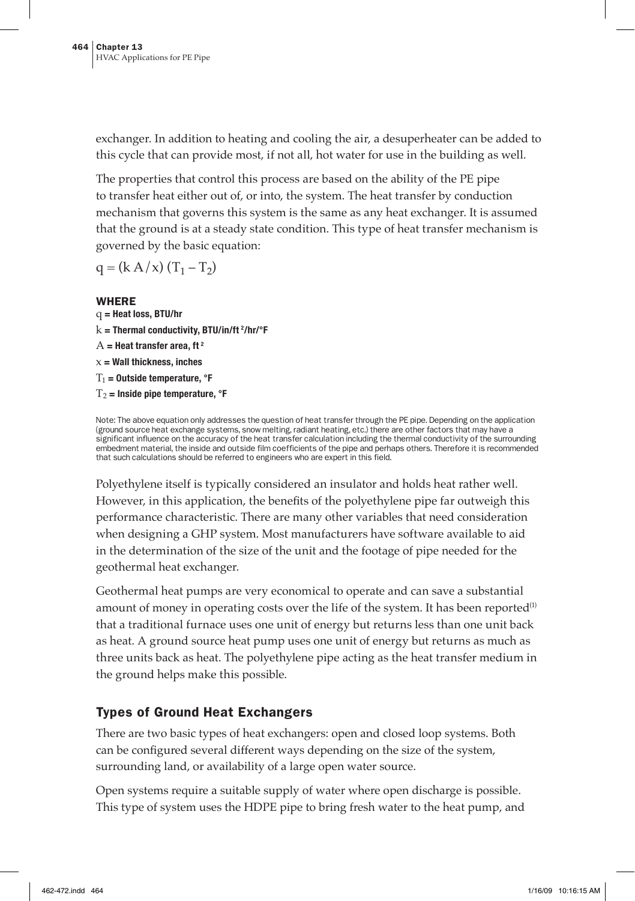exchanger. In addition to heating and cooling the air, a desuperheater can be added to this cycle that can provide most, if not all, hot water for use in the building as well.

The properties that control this process are based on the ability of the PE pipe to transfer heat either out of, or into, the system. The heat transfer by conduction mechanism that governs this system is the same as any heat exchanger. It is assumed that the ground is at a steady state condition. This type of heat transfer mechanism is governed by the basic equation:

 $q = (k A/x) (T_1 - T_2)$ 

#### **WHERE**

q **= Heat loss, BTU/hr** k **= Thermal conductivity, BTU/in/ft 2 /hr/°F**  $A =$  Heat transfer area, ft<sup>2</sup> x **= Wall thickness, inches** T1 **= Outside temperature, °F** T2 **= Inside pipe temperature, °F**

Note: The above equation only addresses the question of heat transfer through the PE pipe. Depending on the application (ground source heat exchange systems, snow melting, radiant heating, etc.) there are other factors that may have a significant influence on the accuracy of the heat transfer calculation including the thermal conductivity of the surrounding embedment material, the inside and outside film coefficients of the pipe and perhaps others. Therefore it is recommended that such calculations should be referred to engineers who are expert in this field.

Polyethylene itself is typically considered an insulator and holds heat rather well. However, in this application, the benefits of the polyethylene pipe far outweigh this performance characteristic. There are many other variables that need consideration when designing a GHP system. Most manufacturers have software available to aid in the determination of the size of the unit and the footage of pipe needed for the geothermal heat exchanger.

Geothermal heat pumps are very economical to operate and can save a substantial amount of money in operating costs over the life of the system. It has been reported $(1)$ that a traditional furnace uses one unit of energy but returns less than one unit back as heat. A ground source heat pump uses one unit of energy but returns as much as three units back as heat. The polyethylene pipe acting as the heat transfer medium in the ground helps make this possible.

## **Types of Ground Heat Exchangers**

There are two basic types of heat exchangers: open and closed loop systems. Both can be configured several different ways depending on the size of the system, surrounding land, or availability of a large open water source.

Open systems require a suitable supply of water where open discharge is possible. This type of system uses the HDPE pipe to bring fresh water to the heat pump, and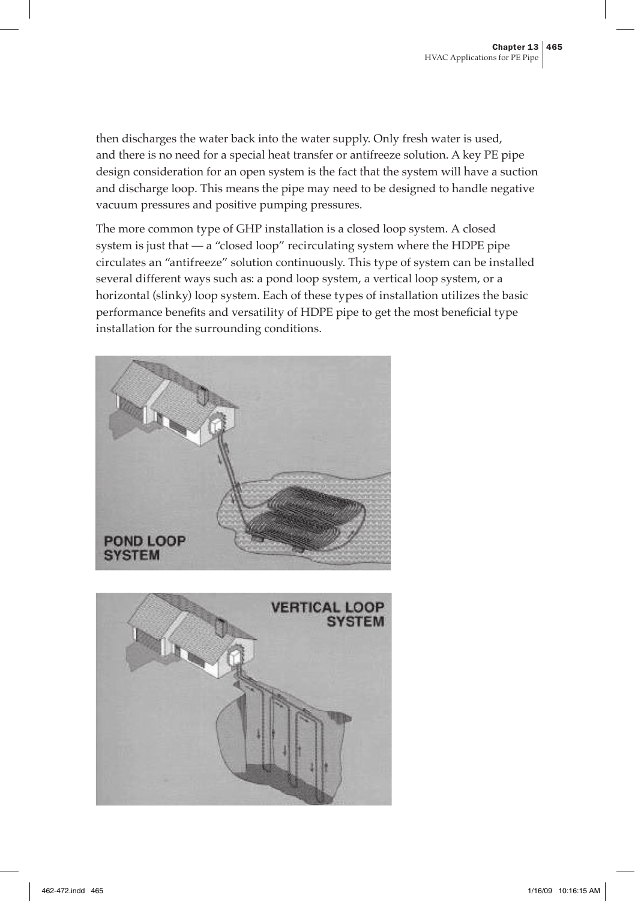then discharges the water back into the water supply. Only fresh water is used, and there is no need for a special heat transfer or antifreeze solution. A key PE pipe design consideration for an open system is the fact that the system will have a suction and discharge loop. This means the pipe may need to be designed to handle negative vacuum pressures and positive pumping pressures.

The more common type of GHP installation is a closed loop system. A closed system is just that — a "closed loop" recirculating system where the HDPE pipe circulates an "antifreeze" solution continuously. This type of system can be installed several different ways such as: a pond loop system, a vertical loop system, or a horizontal (slinky) loop system. Each of these types of installation utilizes the basic performance benefits and versatility of HDPE pipe to get the most beneficial type installation for the surrounding conditions.



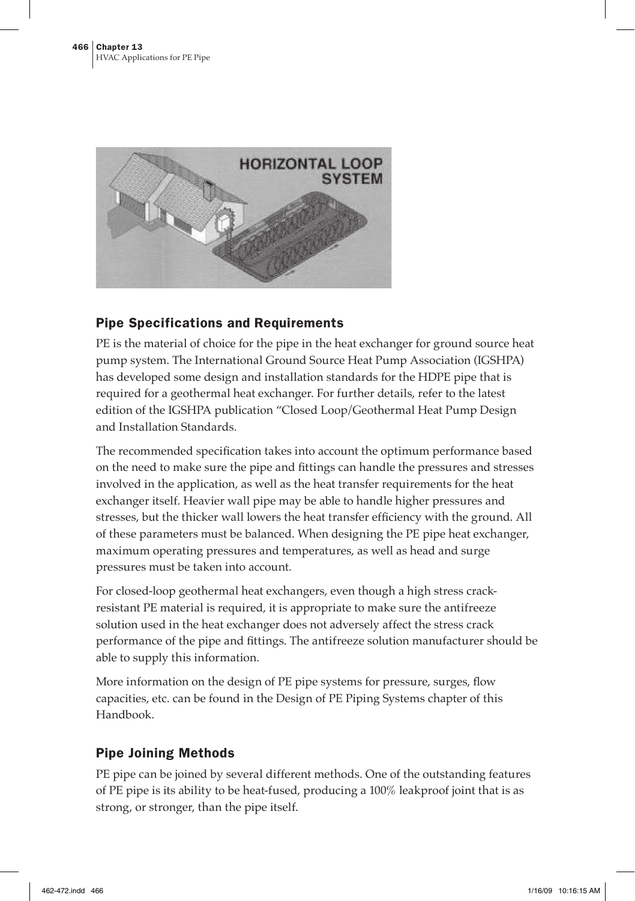

## **Pipe Specifications and Requirements**

PE is the material of choice for the pipe in the heat exchanger for ground source heat pump system. The International Ground Source Heat Pump Association (IGSHPA) has developed some design and installation standards for the HDPE pipe that is required for a geothermal heat exchanger. For further details, refer to the latest edition of the IGSHPA publication "Closed Loop/Geothermal Heat Pump Design and Installation Standards.

The recommended specification takes into account the optimum performance based on the need to make sure the pipe and fittings can handle the pressures and stresses involved in the application, as well as the heat transfer requirements for the heat exchanger itself. Heavier wall pipe may be able to handle higher pressures and stresses, but the thicker wall lowers the heat transfer efficiency with the ground. All of these parameters must be balanced. When designing the PE pipe heat exchanger, maximum operating pressures and temperatures, as well as head and surge pressures must be taken into account.

For closed-loop geothermal heat exchangers, even though a high stress crackresistant PE material is required, it is appropriate to make sure the antifreeze solution used in the heat exchanger does not adversely affect the stress crack performance of the pipe and fittings. The antifreeze solution manufacturer should be able to supply this information.

More information on the design of PE pipe systems for pressure, surges, flow capacities, etc. can be found in the Design of PE Piping Systems chapter of this Handbook.

# Pipe Joining Methods

PE pipe can be joined by several different methods. One of the outstanding features of PE pipe is its ability to be heat-fused, producing a 100% leakproof joint that is as strong, or stronger, than the pipe itself.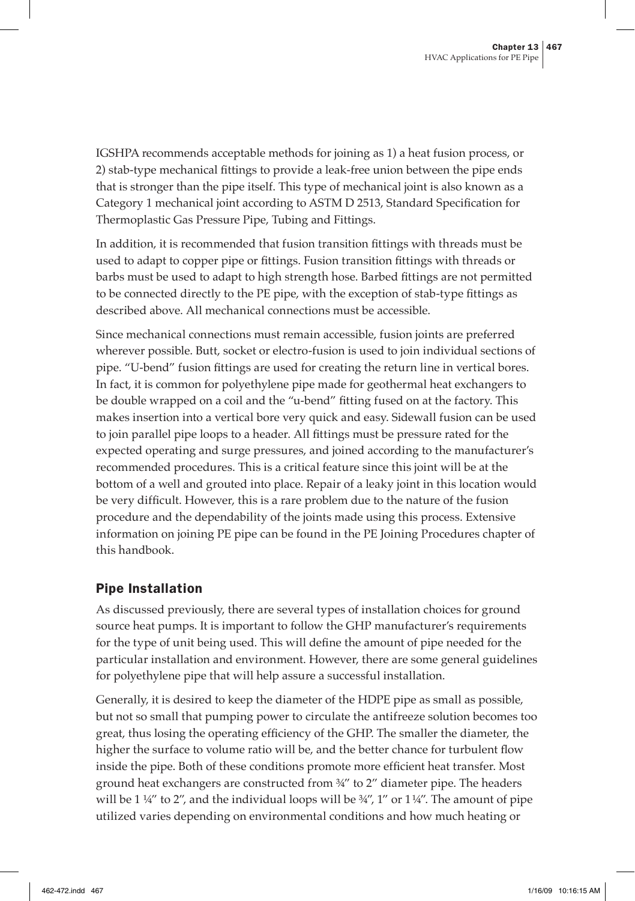IGSHPA recommends acceptable methods for joining as 1) a heat fusion process, or 2) stab-type mechanical fittings to provide a leak-free union between the pipe ends that is stronger than the pipe itself. This type of mechanical joint is also known as a Category 1 mechanical joint according to ASTM D 2513, Standard Specification for Thermoplastic Gas Pressure Pipe, Tubing and Fittings.

In addition, it is recommended that fusion transition fittings with threads must be used to adapt to copper pipe or fittings. Fusion transition fittings with threads or barbs must be used to adapt to high strength hose. Barbed fittings are not permitted to be connected directly to the PE pipe, with the exception of stab-type fittings as described above. All mechanical connections must be accessible.

Since mechanical connections must remain accessible, fusion joints are preferred wherever possible. Butt, socket or electro-fusion is used to join individual sections of pipe. "U-bend" fusion fittings are used for creating the return line in vertical bores. In fact, it is common for polyethylene pipe made for geothermal heat exchangers to be double wrapped on a coil and the "u-bend" fitting fused on at the factory. This makes insertion into a vertical bore very quick and easy. Sidewall fusion can be used to join parallel pipe loops to a header. All fittings must be pressure rated for the expected operating and surge pressures, and joined according to the manufacturer's recommended procedures. This is a critical feature since this joint will be at the bottom of a well and grouted into place. Repair of a leaky joint in this location would be very difficult. However, this is a rare problem due to the nature of the fusion procedure and the dependability of the joints made using this process. Extensive information on joining PE pipe can be found in the PE Joining Procedures chapter of this handbook.

## Pipe Installation

As discussed previously, there are several types of installation choices for ground source heat pumps. It is important to follow the GHP manufacturer's requirements for the type of unit being used. This will define the amount of pipe needed for the particular installation and environment. However, there are some general guidelines for polyethylene pipe that will help assure a successful installation.

Generally, it is desired to keep the diameter of the HDPE pipe as small as possible, but not so small that pumping power to circulate the antifreeze solution becomes too great, thus losing the operating efficiency of the GHP. The smaller the diameter, the higher the surface to volume ratio will be, and the better chance for turbulent flow inside the pipe. Both of these conditions promote more efficient heat transfer. Most ground heat exchangers are constructed from ¾" to 2" diameter pipe. The headers will be 1  $\frac{1}{4}$ " to 2", and the individual loops will be  $\frac{3}{4}$ ", 1" or 1 $\frac{1}{4}$ ". The amount of pipe utilized varies depending on environmental conditions and how much heating or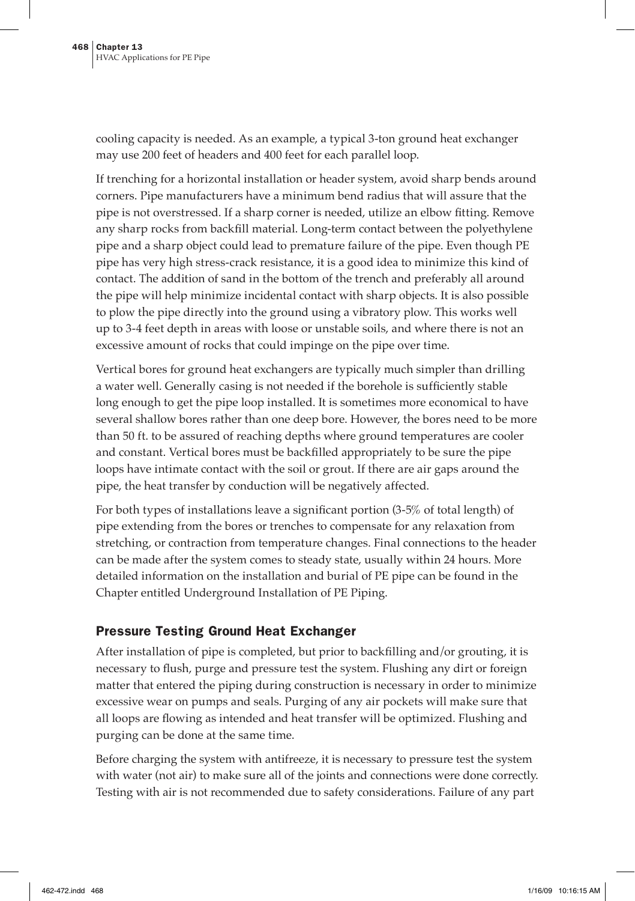cooling capacity is needed. As an example, a typical 3-ton ground heat exchanger may use 200 feet of headers and 400 feet for each parallel loop.

If trenching for a horizontal installation or header system, avoid sharp bends around corners. Pipe manufacturers have a minimum bend radius that will assure that the pipe is not overstressed. If a sharp corner is needed, utilize an elbow fitting. Remove any sharp rocks from backfill material. Long-term contact between the polyethylene pipe and a sharp object could lead to premature failure of the pipe. Even though PE pipe has very high stress-crack resistance, it is a good idea to minimize this kind of contact. The addition of sand in the bottom of the trench and preferably all around the pipe will help minimize incidental contact with sharp objects. It is also possible to plow the pipe directly into the ground using a vibratory plow. This works well up to 3-4 feet depth in areas with loose or unstable soils, and where there is not an excessive amount of rocks that could impinge on the pipe over time.

Vertical bores for ground heat exchangers are typically much simpler than drilling a water well. Generally casing is not needed if the borehole is sufficiently stable long enough to get the pipe loop installed. It is sometimes more economical to have several shallow bores rather than one deep bore. However, the bores need to be more than 50 ft. to be assured of reaching depths where ground temperatures are cooler and constant. Vertical bores must be backfilled appropriately to be sure the pipe loops have intimate contact with the soil or grout. If there are air gaps around the pipe, the heat transfer by conduction will be negatively affected.

For both types of installations leave a significant portion (3-5% of total length) of pipe extending from the bores or trenches to compensate for any relaxation from stretching, or contraction from temperature changes. Final connections to the header can be made after the system comes to steady state, usually within 24 hours. More detailed information on the installation and burial of PE pipe can be found in the Chapter entitled Underground Installation of PE Piping.

## Pressure Testing Ground Heat Exchanger

After installation of pipe is completed, but prior to backfilling and/or grouting, it is necessary to flush, purge and pressure test the system. Flushing any dirt or foreign matter that entered the piping during construction is necessary in order to minimize excessive wear on pumps and seals. Purging of any air pockets will make sure that all loops are flowing as intended and heat transfer will be optimized. Flushing and purging can be done at the same time.

Before charging the system with antifreeze, it is necessary to pressure test the system with water (not air) to make sure all of the joints and connections were done correctly. Testing with air is not recommended due to safety considerations. Failure of any part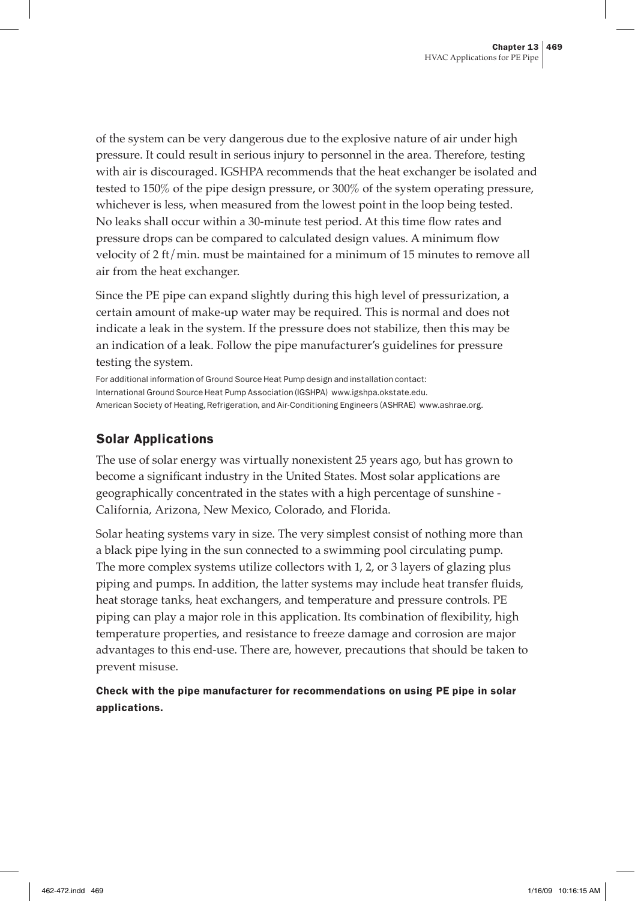of the system can be very dangerous due to the explosive nature of air under high pressure. It could result in serious injury to personnel in the area. Therefore, testing with air is discouraged. IGSHPA recommends that the heat exchanger be isolated and tested to 150% of the pipe design pressure, or 300% of the system operating pressure, whichever is less, when measured from the lowest point in the loop being tested. No leaks shall occur within a 30-minute test period. At this time flow rates and pressure drops can be compared to calculated design values. A minimum flow velocity of 2 ft/min. must be maintained for a minimum of 15 minutes to remove all air from the heat exchanger.

Since the PE pipe can expand slightly during this high level of pressurization, a certain amount of make-up water may be required. This is normal and does not indicate a leak in the system. If the pressure does not stabilize, then this may be an indication of a leak. Follow the pipe manufacturer's guidelines for pressure testing the system.

For additional information of Ground Source Heat Pump design and installation contact: International Ground Source Heat Pump Association (IGSHPA) www.igshpa.okstate.edu. American Society of Heating, Refrigeration, and Air-Conditioning Engineers (ASHRAE) www.ashrae.org.

# Solar Applications

The use of solar energy was virtually nonexistent 25 years ago, but has grown to become a significant industry in the United States. Most solar applications are geographically concentrated in the states with a high percentage of sunshine - California, Arizona, New Mexico, Colorado, and Florida.

Solar heating systems vary in size. The very simplest consist of nothing more than a black pipe lying in the sun connected to a swimming pool circulating pump. The more complex systems utilize collectors with 1, 2, or 3 layers of glazing plus piping and pumps. In addition, the latter systems may include heat transfer fluids, heat storage tanks, heat exchangers, and temperature and pressure controls. PE piping can play a major role in this application. Its combination of flexibility, high temperature properties, and resistance to freeze damage and corrosion are major advantages to this end-use. There are, however, precautions that should be taken to prevent misuse.

Check with the pipe manufacturer for recommendations on using PE pipe in solar applications.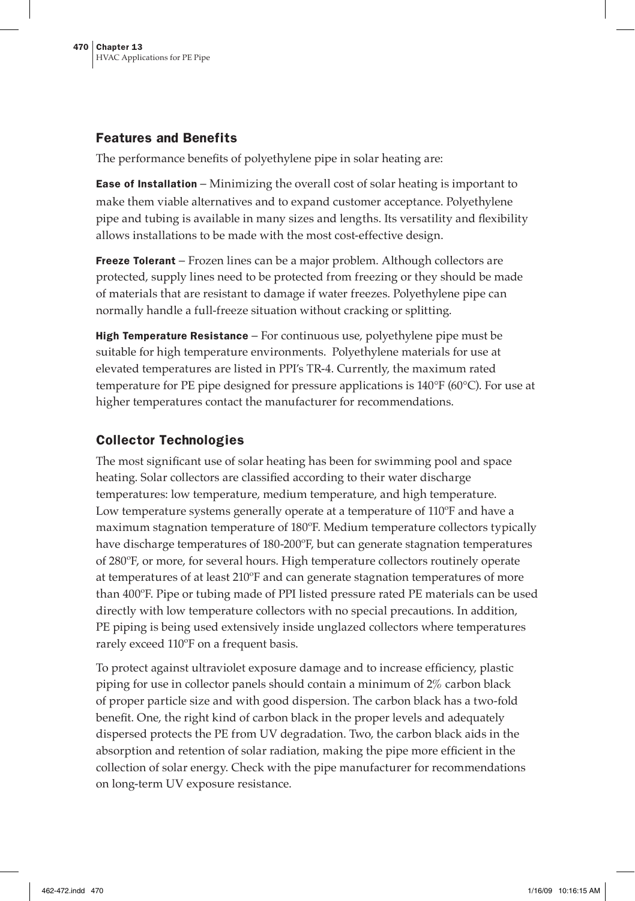## Features and Benefits

The performance benefits of polyethylene pipe in solar heating are:

**Ease of Installation** – Minimizing the overall cost of solar heating is important to make them viable alternatives and to expand customer acceptance. Polyethylene pipe and tubing is available in many sizes and lengths. Its versatility and flexibility allows installations to be made with the most cost-effective design.

Freeze Tolerant – Frozen lines can be a major problem. Although collectors are protected, supply lines need to be protected from freezing or they should be made of materials that are resistant to damage if water freezes. Polyethylene pipe can normally handle a full-freeze situation without cracking or splitting.

**High Temperature Resistance –** For continuous use, polyethylene pipe must be suitable for high temperature environments. Polyethylene materials for use at elevated temperatures are listed in PPI's TR-4. Currently, the maximum rated temperature for PE pipe designed for pressure applications is 140°F (60°C). For use at higher temperatures contact the manufacturer for recommendations.

# Collector Technologies

The most significant use of solar heating has been for swimming pool and space heating. Solar collectors are classified according to their water discharge temperatures: low temperature, medium temperature, and high temperature. Low temperature systems generally operate at a temperature of 110ºF and have a maximum stagnation temperature of 180ºF. Medium temperature collectors typically have discharge temperatures of 180-200ºF, but can generate stagnation temperatures of 280ºF, or more, for several hours. High temperature collectors routinely operate at temperatures of at least 210ºF and can generate stagnation temperatures of more than 400ºF. Pipe or tubing made of PPI listed pressure rated PE materials can be used directly with low temperature collectors with no special precautions. In addition, PE piping is being used extensively inside unglazed collectors where temperatures rarely exceed 110ºF on a frequent basis.

To protect against ultraviolet exposure damage and to increase efficiency, plastic piping for use in collector panels should contain a minimum of 2% carbon black of proper particle size and with good dispersion. The carbon black has a two-fold benefit. One, the right kind of carbon black in the proper levels and adequately dispersed protects the PE from UV degradation. Two, the carbon black aids in the absorption and retention of solar radiation, making the pipe more efficient in the collection of solar energy. Check with the pipe manufacturer for recommendations on long-term UV exposure resistance.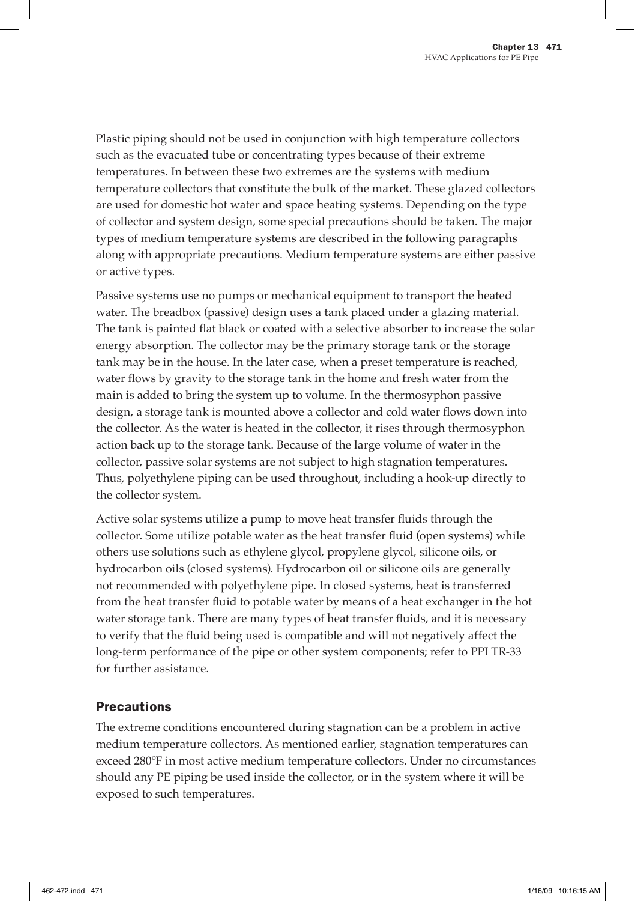Plastic piping should not be used in conjunction with high temperature collectors such as the evacuated tube or concentrating types because of their extreme temperatures. In between these two extremes are the systems with medium temperature collectors that constitute the bulk of the market. These glazed collectors are used for domestic hot water and space heating systems. Depending on the type of collector and system design, some special precautions should be taken. The major types of medium temperature systems are described in the following paragraphs along with appropriate precautions. Medium temperature systems are either passive or active types.

Passive systems use no pumps or mechanical equipment to transport the heated water. The breadbox (passive) design uses a tank placed under a glazing material. The tank is painted flat black or coated with a selective absorber to increase the solar energy absorption. The collector may be the primary storage tank or the storage tank may be in the house. In the later case, when a preset temperature is reached, water flows by gravity to the storage tank in the home and fresh water from the main is added to bring the system up to volume. In the thermosyphon passive design, a storage tank is mounted above a collector and cold water flows down into the collector. As the water is heated in the collector, it rises through thermosyphon action back up to the storage tank. Because of the large volume of water in the collector, passive solar systems are not subject to high stagnation temperatures. Thus, polyethylene piping can be used throughout, including a hook-up directly to the collector system.

Active solar systems utilize a pump to move heat transfer fluids through the collector. Some utilize potable water as the heat transfer fluid (open systems) while others use solutions such as ethylene glycol, propylene glycol, silicone oils, or hydrocarbon oils (closed systems). Hydrocarbon oil or silicone oils are generally not recommended with polyethylene pipe. In closed systems, heat is transferred from the heat transfer fluid to potable water by means of a heat exchanger in the hot water storage tank. There are many types of heat transfer fluids, and it is necessary to verify that the fluid being used is compatible and will not negatively affect the long-term performance of the pipe or other system components; refer to PPI TR-33 for further assistance.

#### **Precautions**

The extreme conditions encountered during stagnation can be a problem in active medium temperature collectors. As mentioned earlier, stagnation temperatures can exceed 280ºF in most active medium temperature collectors. Under no circumstances should any PE piping be used inside the collector, or in the system where it will be exposed to such temperatures.